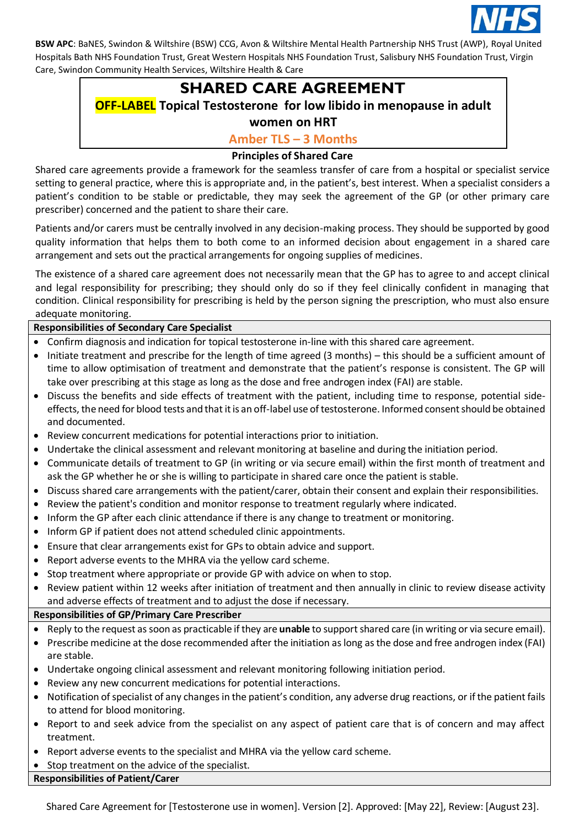

# **SHARED CARE AGREEMENT**

# **OFF-LABEL Topical Testosterone for low libido in menopause in adult**

# **women on HRT**

# **Amber TLS – 3 Months**

# **Principles of Shared Care**

Shared care agreements provide a framework for the seamless transfer of care from a hospital or specialist service setting to general practice, where this is appropriate and, in the patient's, best interest. When a specialist considers a patient's condition to be stable or predictable, they may seek the agreement of the GP (or other primary care prescriber) concerned and the patient to share their care.

Patients and/or carers must be centrally involved in any decision-making process. They should be supported by good quality information that helps them to both come to an informed decision about engagement in a shared care arrangement and sets out the practical arrangements for ongoing supplies of medicines.

The existence of a shared care agreement does not necessarily mean that the GP has to agree to and accept clinical and legal responsibility for prescribing; they should only do so if they feel clinically confident in managing that condition. Clinical responsibility for prescribing is held by the person signing the prescription, who must also ensure adequate monitoring.

# **Responsibilities of Secondary Care Specialist**

- Confirm diagnosis and indication for topical testosterone in-line with this shared care agreement.
- Initiate treatment and prescribe for the length of time agreed (3 months) this should be a sufficient amount of time to allow optimisation of treatment and demonstrate that the patient's response is consistent. The GP will take over prescribing at this stage as long as the dose and free androgen index (FAI) are stable.
- Discuss the benefits and side effects of treatment with the patient, including time to response, potential sideeffects, the need for blood tests and that it is an off-label use of testosterone. Informed consent should be obtained and documented.
- Review concurrent medications for potential interactions prior to initiation.
- Undertake the clinical assessment and relevant monitoring at baseline and during the initiation period.
- Communicate details of treatment to GP (in writing or via secure email) within the first month of treatment and ask the GP whether he or she is willing to participate in shared care once the patient is stable.
- Discuss shared care arrangements with the patient/carer, obtain their consent and explain their responsibilities.
- Review the patient's condition and monitor response to treatment regularly where indicated.
- Inform the GP after each clinic attendance if there is any change to treatment or monitoring.
- Inform GP if patient does not attend scheduled clinic appointments.
- Ensure that clear arrangements exist for GPs to obtain advice and support.
- Report adverse events to the MHRA via the yellow card scheme.
- Stop treatment where appropriate or provide GP with advice on when to stop.
- Review patient within 12 weeks after initiation of treatment and then annually in clinic to review disease activity and adverse effects of treatment and to adjust the dose if necessary.

# **Responsibilities of GP/Primary Care Prescriber**

- Reply to the request as soon as practicable if they are **unable** to support shared care (in writing or via secure email).
- Prescribe medicine at the dose recommended after the initiation as long as the dose and free androgen index (FAI) are stable.
- Undertake ongoing clinical assessment and relevant monitoring following initiation period.
- Review any new concurrent medications for potential interactions.
- Notification of specialist of any changes in the patient's condition, any adverse drug reactions, or if the patient fails to attend for blood monitoring.
- Report to and seek advice from the specialist on any aspect of patient care that is of concern and may affect treatment.
- Report adverse events to the specialist and MHRA via the yellow card scheme.
- Stop treatment on the advice of the specialist.

#### **Responsibilities of Patient/Carer**

Shared Care Agreement for [Testosterone use in women]. Version [2]. Approved: [May 22], Review: [August 23].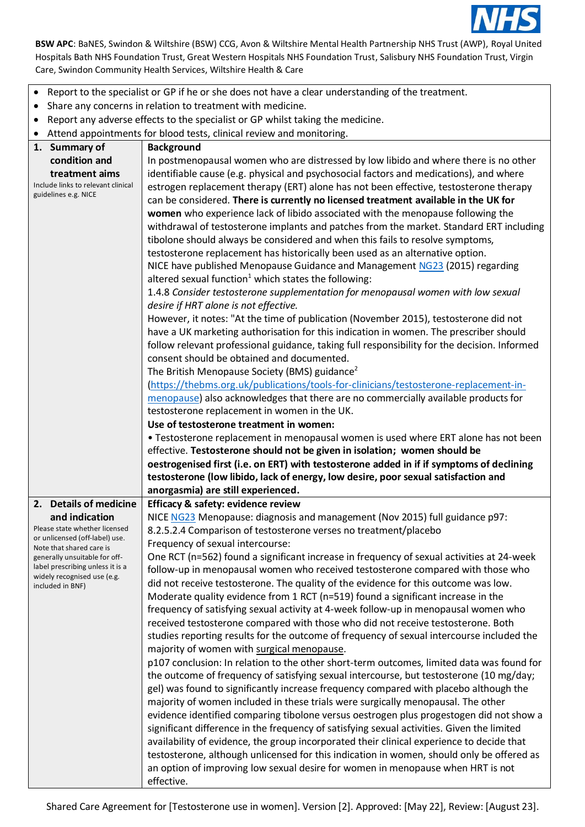

- Report to the specialist or GP if he or she does not have a clear understanding of the treatment.
- Share any concerns in relation to treatment with medicine.
- Report any adverse effects to the specialist or GP whilst taking the medicine.
- Attend appointments for blood tests, clinical review and monitoring.

| 1. Summary of<br><b>Background</b><br>In postmenopausal women who are distressed by low libido and where there is no other<br>condition and<br>identifiable cause (e.g. physical and psychosocial factors and medications), and where<br>treatment aims<br>Include links to relevant clinical<br>estrogen replacement therapy (ERT) alone has not been effective, testosterone therapy<br>guidelines e.g. NICE<br>can be considered. There is currently no licensed treatment available in the UK for<br>women who experience lack of libido associated with the menopause following the<br>withdrawal of testosterone implants and patches from the market. Standard ERT including<br>tibolone should always be considered and when this fails to resolve symptoms,<br>testosterone replacement has historically been used as an alternative option.<br>NICE have published Menopause Guidance and Management NG23 (2015) regarding<br>altered sexual function <sup>1</sup> which states the following:<br>1.4.8 Consider testosterone supplementation for menopausal women with low sexual<br>desire if HRT alone is not effective.<br>However, it notes: "At the time of publication (November 2015), testosterone did not<br>have a UK marketing authorisation for this indication in women. The prescriber should<br>follow relevant professional guidance, taking full responsibility for the decision. Informed<br>consent should be obtained and documented.<br>The British Menopause Society (BMS) guidance <sup>2</sup><br>(https://thebms.org.uk/publications/tools-for-clinicians/testosterone-replacement-in-<br>menopause) also acknowledges that there are no commercially available products for<br>testosterone replacement in women in the UK.<br>Use of testosterone treatment in women:<br>• Testosterone replacement in menopausal women is used where ERT alone has not been<br>effective. Testosterone should not be given in isolation; women should be<br>oestrogenised first (i.e. on ERT) with testosterone added in if if symptoms of declining<br>testosterone (low libido, lack of energy, low desire, poor sexual satisfaction and<br>anorgasmia) are still experienced.<br>2. Details of medicine<br>Efficacy & safety: evidence review<br>NICE NG23 Menopause: diagnosis and management (Nov 2015) full guidance p97:<br>and indication<br>Please state whether licensed<br>8.2.5.2.4 Comparison of testosterone verses no treatment/placebo<br>or unlicensed (off-label) use.<br>Frequency of sexual intercourse:<br>Note that shared care is<br>One RCT (n=562) found a significant increase in frequency of sexual activities at 24-week<br>generally unsuitable for off-<br>label prescribing unless it is a<br>follow-up in menopausal women who received testosterone compared with those who<br>widely recognised use (e.g.<br>did not receive testosterone. The quality of the evidence for this outcome was low.<br>included in BNF) |
|--------------------------------------------------------------------------------------------------------------------------------------------------------------------------------------------------------------------------------------------------------------------------------------------------------------------------------------------------------------------------------------------------------------------------------------------------------------------------------------------------------------------------------------------------------------------------------------------------------------------------------------------------------------------------------------------------------------------------------------------------------------------------------------------------------------------------------------------------------------------------------------------------------------------------------------------------------------------------------------------------------------------------------------------------------------------------------------------------------------------------------------------------------------------------------------------------------------------------------------------------------------------------------------------------------------------------------------------------------------------------------------------------------------------------------------------------------------------------------------------------------------------------------------------------------------------------------------------------------------------------------------------------------------------------------------------------------------------------------------------------------------------------------------------------------------------------------------------------------------------------------------------------------------------------------------------------------------------------------------------------------------------------------------------------------------------------------------------------------------------------------------------------------------------------------------------------------------------------------------------------------------------------------------------------------------------------------------------------------------------------------------------------------------------------------------------------------------------------------------------------------------------------------------------------------------------------------------------------------------------------------------------------------------------------------------------------------------------------------------------------------------------------------------------------------------------------------------------------------------------------------------------------------------------------------------------------------------------------------|
|                                                                                                                                                                                                                                                                                                                                                                                                                                                                                                                                                                                                                                                                                                                                                                                                                                                                                                                                                                                                                                                                                                                                                                                                                                                                                                                                                                                                                                                                                                                                                                                                                                                                                                                                                                                                                                                                                                                                                                                                                                                                                                                                                                                                                                                                                                                                                                                                                                                                                                                                                                                                                                                                                                                                                                                                                                                                                                                                                                                |
|                                                                                                                                                                                                                                                                                                                                                                                                                                                                                                                                                                                                                                                                                                                                                                                                                                                                                                                                                                                                                                                                                                                                                                                                                                                                                                                                                                                                                                                                                                                                                                                                                                                                                                                                                                                                                                                                                                                                                                                                                                                                                                                                                                                                                                                                                                                                                                                                                                                                                                                                                                                                                                                                                                                                                                                                                                                                                                                                                                                |
|                                                                                                                                                                                                                                                                                                                                                                                                                                                                                                                                                                                                                                                                                                                                                                                                                                                                                                                                                                                                                                                                                                                                                                                                                                                                                                                                                                                                                                                                                                                                                                                                                                                                                                                                                                                                                                                                                                                                                                                                                                                                                                                                                                                                                                                                                                                                                                                                                                                                                                                                                                                                                                                                                                                                                                                                                                                                                                                                                                                |
|                                                                                                                                                                                                                                                                                                                                                                                                                                                                                                                                                                                                                                                                                                                                                                                                                                                                                                                                                                                                                                                                                                                                                                                                                                                                                                                                                                                                                                                                                                                                                                                                                                                                                                                                                                                                                                                                                                                                                                                                                                                                                                                                                                                                                                                                                                                                                                                                                                                                                                                                                                                                                                                                                                                                                                                                                                                                                                                                                                                |
|                                                                                                                                                                                                                                                                                                                                                                                                                                                                                                                                                                                                                                                                                                                                                                                                                                                                                                                                                                                                                                                                                                                                                                                                                                                                                                                                                                                                                                                                                                                                                                                                                                                                                                                                                                                                                                                                                                                                                                                                                                                                                                                                                                                                                                                                                                                                                                                                                                                                                                                                                                                                                                                                                                                                                                                                                                                                                                                                                                                |
|                                                                                                                                                                                                                                                                                                                                                                                                                                                                                                                                                                                                                                                                                                                                                                                                                                                                                                                                                                                                                                                                                                                                                                                                                                                                                                                                                                                                                                                                                                                                                                                                                                                                                                                                                                                                                                                                                                                                                                                                                                                                                                                                                                                                                                                                                                                                                                                                                                                                                                                                                                                                                                                                                                                                                                                                                                                                                                                                                                                |
|                                                                                                                                                                                                                                                                                                                                                                                                                                                                                                                                                                                                                                                                                                                                                                                                                                                                                                                                                                                                                                                                                                                                                                                                                                                                                                                                                                                                                                                                                                                                                                                                                                                                                                                                                                                                                                                                                                                                                                                                                                                                                                                                                                                                                                                                                                                                                                                                                                                                                                                                                                                                                                                                                                                                                                                                                                                                                                                                                                                |
|                                                                                                                                                                                                                                                                                                                                                                                                                                                                                                                                                                                                                                                                                                                                                                                                                                                                                                                                                                                                                                                                                                                                                                                                                                                                                                                                                                                                                                                                                                                                                                                                                                                                                                                                                                                                                                                                                                                                                                                                                                                                                                                                                                                                                                                                                                                                                                                                                                                                                                                                                                                                                                                                                                                                                                                                                                                                                                                                                                                |
|                                                                                                                                                                                                                                                                                                                                                                                                                                                                                                                                                                                                                                                                                                                                                                                                                                                                                                                                                                                                                                                                                                                                                                                                                                                                                                                                                                                                                                                                                                                                                                                                                                                                                                                                                                                                                                                                                                                                                                                                                                                                                                                                                                                                                                                                                                                                                                                                                                                                                                                                                                                                                                                                                                                                                                                                                                                                                                                                                                                |
|                                                                                                                                                                                                                                                                                                                                                                                                                                                                                                                                                                                                                                                                                                                                                                                                                                                                                                                                                                                                                                                                                                                                                                                                                                                                                                                                                                                                                                                                                                                                                                                                                                                                                                                                                                                                                                                                                                                                                                                                                                                                                                                                                                                                                                                                                                                                                                                                                                                                                                                                                                                                                                                                                                                                                                                                                                                                                                                                                                                |
|                                                                                                                                                                                                                                                                                                                                                                                                                                                                                                                                                                                                                                                                                                                                                                                                                                                                                                                                                                                                                                                                                                                                                                                                                                                                                                                                                                                                                                                                                                                                                                                                                                                                                                                                                                                                                                                                                                                                                                                                                                                                                                                                                                                                                                                                                                                                                                                                                                                                                                                                                                                                                                                                                                                                                                                                                                                                                                                                                                                |
|                                                                                                                                                                                                                                                                                                                                                                                                                                                                                                                                                                                                                                                                                                                                                                                                                                                                                                                                                                                                                                                                                                                                                                                                                                                                                                                                                                                                                                                                                                                                                                                                                                                                                                                                                                                                                                                                                                                                                                                                                                                                                                                                                                                                                                                                                                                                                                                                                                                                                                                                                                                                                                                                                                                                                                                                                                                                                                                                                                                |
|                                                                                                                                                                                                                                                                                                                                                                                                                                                                                                                                                                                                                                                                                                                                                                                                                                                                                                                                                                                                                                                                                                                                                                                                                                                                                                                                                                                                                                                                                                                                                                                                                                                                                                                                                                                                                                                                                                                                                                                                                                                                                                                                                                                                                                                                                                                                                                                                                                                                                                                                                                                                                                                                                                                                                                                                                                                                                                                                                                                |
|                                                                                                                                                                                                                                                                                                                                                                                                                                                                                                                                                                                                                                                                                                                                                                                                                                                                                                                                                                                                                                                                                                                                                                                                                                                                                                                                                                                                                                                                                                                                                                                                                                                                                                                                                                                                                                                                                                                                                                                                                                                                                                                                                                                                                                                                                                                                                                                                                                                                                                                                                                                                                                                                                                                                                                                                                                                                                                                                                                                |
|                                                                                                                                                                                                                                                                                                                                                                                                                                                                                                                                                                                                                                                                                                                                                                                                                                                                                                                                                                                                                                                                                                                                                                                                                                                                                                                                                                                                                                                                                                                                                                                                                                                                                                                                                                                                                                                                                                                                                                                                                                                                                                                                                                                                                                                                                                                                                                                                                                                                                                                                                                                                                                                                                                                                                                                                                                                                                                                                                                                |
|                                                                                                                                                                                                                                                                                                                                                                                                                                                                                                                                                                                                                                                                                                                                                                                                                                                                                                                                                                                                                                                                                                                                                                                                                                                                                                                                                                                                                                                                                                                                                                                                                                                                                                                                                                                                                                                                                                                                                                                                                                                                                                                                                                                                                                                                                                                                                                                                                                                                                                                                                                                                                                                                                                                                                                                                                                                                                                                                                                                |
|                                                                                                                                                                                                                                                                                                                                                                                                                                                                                                                                                                                                                                                                                                                                                                                                                                                                                                                                                                                                                                                                                                                                                                                                                                                                                                                                                                                                                                                                                                                                                                                                                                                                                                                                                                                                                                                                                                                                                                                                                                                                                                                                                                                                                                                                                                                                                                                                                                                                                                                                                                                                                                                                                                                                                                                                                                                                                                                                                                                |
|                                                                                                                                                                                                                                                                                                                                                                                                                                                                                                                                                                                                                                                                                                                                                                                                                                                                                                                                                                                                                                                                                                                                                                                                                                                                                                                                                                                                                                                                                                                                                                                                                                                                                                                                                                                                                                                                                                                                                                                                                                                                                                                                                                                                                                                                                                                                                                                                                                                                                                                                                                                                                                                                                                                                                                                                                                                                                                                                                                                |
|                                                                                                                                                                                                                                                                                                                                                                                                                                                                                                                                                                                                                                                                                                                                                                                                                                                                                                                                                                                                                                                                                                                                                                                                                                                                                                                                                                                                                                                                                                                                                                                                                                                                                                                                                                                                                                                                                                                                                                                                                                                                                                                                                                                                                                                                                                                                                                                                                                                                                                                                                                                                                                                                                                                                                                                                                                                                                                                                                                                |
|                                                                                                                                                                                                                                                                                                                                                                                                                                                                                                                                                                                                                                                                                                                                                                                                                                                                                                                                                                                                                                                                                                                                                                                                                                                                                                                                                                                                                                                                                                                                                                                                                                                                                                                                                                                                                                                                                                                                                                                                                                                                                                                                                                                                                                                                                                                                                                                                                                                                                                                                                                                                                                                                                                                                                                                                                                                                                                                                                                                |
|                                                                                                                                                                                                                                                                                                                                                                                                                                                                                                                                                                                                                                                                                                                                                                                                                                                                                                                                                                                                                                                                                                                                                                                                                                                                                                                                                                                                                                                                                                                                                                                                                                                                                                                                                                                                                                                                                                                                                                                                                                                                                                                                                                                                                                                                                                                                                                                                                                                                                                                                                                                                                                                                                                                                                                                                                                                                                                                                                                                |
|                                                                                                                                                                                                                                                                                                                                                                                                                                                                                                                                                                                                                                                                                                                                                                                                                                                                                                                                                                                                                                                                                                                                                                                                                                                                                                                                                                                                                                                                                                                                                                                                                                                                                                                                                                                                                                                                                                                                                                                                                                                                                                                                                                                                                                                                                                                                                                                                                                                                                                                                                                                                                                                                                                                                                                                                                                                                                                                                                                                |
|                                                                                                                                                                                                                                                                                                                                                                                                                                                                                                                                                                                                                                                                                                                                                                                                                                                                                                                                                                                                                                                                                                                                                                                                                                                                                                                                                                                                                                                                                                                                                                                                                                                                                                                                                                                                                                                                                                                                                                                                                                                                                                                                                                                                                                                                                                                                                                                                                                                                                                                                                                                                                                                                                                                                                                                                                                                                                                                                                                                |
|                                                                                                                                                                                                                                                                                                                                                                                                                                                                                                                                                                                                                                                                                                                                                                                                                                                                                                                                                                                                                                                                                                                                                                                                                                                                                                                                                                                                                                                                                                                                                                                                                                                                                                                                                                                                                                                                                                                                                                                                                                                                                                                                                                                                                                                                                                                                                                                                                                                                                                                                                                                                                                                                                                                                                                                                                                                                                                                                                                                |
|                                                                                                                                                                                                                                                                                                                                                                                                                                                                                                                                                                                                                                                                                                                                                                                                                                                                                                                                                                                                                                                                                                                                                                                                                                                                                                                                                                                                                                                                                                                                                                                                                                                                                                                                                                                                                                                                                                                                                                                                                                                                                                                                                                                                                                                                                                                                                                                                                                                                                                                                                                                                                                                                                                                                                                                                                                                                                                                                                                                |
|                                                                                                                                                                                                                                                                                                                                                                                                                                                                                                                                                                                                                                                                                                                                                                                                                                                                                                                                                                                                                                                                                                                                                                                                                                                                                                                                                                                                                                                                                                                                                                                                                                                                                                                                                                                                                                                                                                                                                                                                                                                                                                                                                                                                                                                                                                                                                                                                                                                                                                                                                                                                                                                                                                                                                                                                                                                                                                                                                                                |
|                                                                                                                                                                                                                                                                                                                                                                                                                                                                                                                                                                                                                                                                                                                                                                                                                                                                                                                                                                                                                                                                                                                                                                                                                                                                                                                                                                                                                                                                                                                                                                                                                                                                                                                                                                                                                                                                                                                                                                                                                                                                                                                                                                                                                                                                                                                                                                                                                                                                                                                                                                                                                                                                                                                                                                                                                                                                                                                                                                                |
|                                                                                                                                                                                                                                                                                                                                                                                                                                                                                                                                                                                                                                                                                                                                                                                                                                                                                                                                                                                                                                                                                                                                                                                                                                                                                                                                                                                                                                                                                                                                                                                                                                                                                                                                                                                                                                                                                                                                                                                                                                                                                                                                                                                                                                                                                                                                                                                                                                                                                                                                                                                                                                                                                                                                                                                                                                                                                                                                                                                |
|                                                                                                                                                                                                                                                                                                                                                                                                                                                                                                                                                                                                                                                                                                                                                                                                                                                                                                                                                                                                                                                                                                                                                                                                                                                                                                                                                                                                                                                                                                                                                                                                                                                                                                                                                                                                                                                                                                                                                                                                                                                                                                                                                                                                                                                                                                                                                                                                                                                                                                                                                                                                                                                                                                                                                                                                                                                                                                                                                                                |
|                                                                                                                                                                                                                                                                                                                                                                                                                                                                                                                                                                                                                                                                                                                                                                                                                                                                                                                                                                                                                                                                                                                                                                                                                                                                                                                                                                                                                                                                                                                                                                                                                                                                                                                                                                                                                                                                                                                                                                                                                                                                                                                                                                                                                                                                                                                                                                                                                                                                                                                                                                                                                                                                                                                                                                                                                                                                                                                                                                                |
|                                                                                                                                                                                                                                                                                                                                                                                                                                                                                                                                                                                                                                                                                                                                                                                                                                                                                                                                                                                                                                                                                                                                                                                                                                                                                                                                                                                                                                                                                                                                                                                                                                                                                                                                                                                                                                                                                                                                                                                                                                                                                                                                                                                                                                                                                                                                                                                                                                                                                                                                                                                                                                                                                                                                                                                                                                                                                                                                                                                |
|                                                                                                                                                                                                                                                                                                                                                                                                                                                                                                                                                                                                                                                                                                                                                                                                                                                                                                                                                                                                                                                                                                                                                                                                                                                                                                                                                                                                                                                                                                                                                                                                                                                                                                                                                                                                                                                                                                                                                                                                                                                                                                                                                                                                                                                                                                                                                                                                                                                                                                                                                                                                                                                                                                                                                                                                                                                                                                                                                                                |
|                                                                                                                                                                                                                                                                                                                                                                                                                                                                                                                                                                                                                                                                                                                                                                                                                                                                                                                                                                                                                                                                                                                                                                                                                                                                                                                                                                                                                                                                                                                                                                                                                                                                                                                                                                                                                                                                                                                                                                                                                                                                                                                                                                                                                                                                                                                                                                                                                                                                                                                                                                                                                                                                                                                                                                                                                                                                                                                                                                                |
|                                                                                                                                                                                                                                                                                                                                                                                                                                                                                                                                                                                                                                                                                                                                                                                                                                                                                                                                                                                                                                                                                                                                                                                                                                                                                                                                                                                                                                                                                                                                                                                                                                                                                                                                                                                                                                                                                                                                                                                                                                                                                                                                                                                                                                                                                                                                                                                                                                                                                                                                                                                                                                                                                                                                                                                                                                                                                                                                                                                |
|                                                                                                                                                                                                                                                                                                                                                                                                                                                                                                                                                                                                                                                                                                                                                                                                                                                                                                                                                                                                                                                                                                                                                                                                                                                                                                                                                                                                                                                                                                                                                                                                                                                                                                                                                                                                                                                                                                                                                                                                                                                                                                                                                                                                                                                                                                                                                                                                                                                                                                                                                                                                                                                                                                                                                                                                                                                                                                                                                                                |
| Moderate quality evidence from 1 RCT (n=519) found a significant increase in the                                                                                                                                                                                                                                                                                                                                                                                                                                                                                                                                                                                                                                                                                                                                                                                                                                                                                                                                                                                                                                                                                                                                                                                                                                                                                                                                                                                                                                                                                                                                                                                                                                                                                                                                                                                                                                                                                                                                                                                                                                                                                                                                                                                                                                                                                                                                                                                                                                                                                                                                                                                                                                                                                                                                                                                                                                                                                               |
| frequency of satisfying sexual activity at 4-week follow-up in menopausal women who                                                                                                                                                                                                                                                                                                                                                                                                                                                                                                                                                                                                                                                                                                                                                                                                                                                                                                                                                                                                                                                                                                                                                                                                                                                                                                                                                                                                                                                                                                                                                                                                                                                                                                                                                                                                                                                                                                                                                                                                                                                                                                                                                                                                                                                                                                                                                                                                                                                                                                                                                                                                                                                                                                                                                                                                                                                                                            |
|                                                                                                                                                                                                                                                                                                                                                                                                                                                                                                                                                                                                                                                                                                                                                                                                                                                                                                                                                                                                                                                                                                                                                                                                                                                                                                                                                                                                                                                                                                                                                                                                                                                                                                                                                                                                                                                                                                                                                                                                                                                                                                                                                                                                                                                                                                                                                                                                                                                                                                                                                                                                                                                                                                                                                                                                                                                                                                                                                                                |
| received testosterone compared with those who did not receive testosterone. Both                                                                                                                                                                                                                                                                                                                                                                                                                                                                                                                                                                                                                                                                                                                                                                                                                                                                                                                                                                                                                                                                                                                                                                                                                                                                                                                                                                                                                                                                                                                                                                                                                                                                                                                                                                                                                                                                                                                                                                                                                                                                                                                                                                                                                                                                                                                                                                                                                                                                                                                                                                                                                                                                                                                                                                                                                                                                                               |
| studies reporting results for the outcome of frequency of sexual intercourse included the                                                                                                                                                                                                                                                                                                                                                                                                                                                                                                                                                                                                                                                                                                                                                                                                                                                                                                                                                                                                                                                                                                                                                                                                                                                                                                                                                                                                                                                                                                                                                                                                                                                                                                                                                                                                                                                                                                                                                                                                                                                                                                                                                                                                                                                                                                                                                                                                                                                                                                                                                                                                                                                                                                                                                                                                                                                                                      |
| majority of women with surgical menopause.                                                                                                                                                                                                                                                                                                                                                                                                                                                                                                                                                                                                                                                                                                                                                                                                                                                                                                                                                                                                                                                                                                                                                                                                                                                                                                                                                                                                                                                                                                                                                                                                                                                                                                                                                                                                                                                                                                                                                                                                                                                                                                                                                                                                                                                                                                                                                                                                                                                                                                                                                                                                                                                                                                                                                                                                                                                                                                                                     |
| p107 conclusion: In relation to the other short-term outcomes, limited data was found for                                                                                                                                                                                                                                                                                                                                                                                                                                                                                                                                                                                                                                                                                                                                                                                                                                                                                                                                                                                                                                                                                                                                                                                                                                                                                                                                                                                                                                                                                                                                                                                                                                                                                                                                                                                                                                                                                                                                                                                                                                                                                                                                                                                                                                                                                                                                                                                                                                                                                                                                                                                                                                                                                                                                                                                                                                                                                      |
| the outcome of frequency of satisfying sexual intercourse, but testosterone (10 mg/day;                                                                                                                                                                                                                                                                                                                                                                                                                                                                                                                                                                                                                                                                                                                                                                                                                                                                                                                                                                                                                                                                                                                                                                                                                                                                                                                                                                                                                                                                                                                                                                                                                                                                                                                                                                                                                                                                                                                                                                                                                                                                                                                                                                                                                                                                                                                                                                                                                                                                                                                                                                                                                                                                                                                                                                                                                                                                                        |
| gel) was found to significantly increase frequency compared with placebo although the                                                                                                                                                                                                                                                                                                                                                                                                                                                                                                                                                                                                                                                                                                                                                                                                                                                                                                                                                                                                                                                                                                                                                                                                                                                                                                                                                                                                                                                                                                                                                                                                                                                                                                                                                                                                                                                                                                                                                                                                                                                                                                                                                                                                                                                                                                                                                                                                                                                                                                                                                                                                                                                                                                                                                                                                                                                                                          |
| majority of women included in these trials were surgically menopausal. The other                                                                                                                                                                                                                                                                                                                                                                                                                                                                                                                                                                                                                                                                                                                                                                                                                                                                                                                                                                                                                                                                                                                                                                                                                                                                                                                                                                                                                                                                                                                                                                                                                                                                                                                                                                                                                                                                                                                                                                                                                                                                                                                                                                                                                                                                                                                                                                                                                                                                                                                                                                                                                                                                                                                                                                                                                                                                                               |
| evidence identified comparing tibolone versus oestrogen plus progestogen did not show a                                                                                                                                                                                                                                                                                                                                                                                                                                                                                                                                                                                                                                                                                                                                                                                                                                                                                                                                                                                                                                                                                                                                                                                                                                                                                                                                                                                                                                                                                                                                                                                                                                                                                                                                                                                                                                                                                                                                                                                                                                                                                                                                                                                                                                                                                                                                                                                                                                                                                                                                                                                                                                                                                                                                                                                                                                                                                        |
| significant difference in the frequency of satisfying sexual activities. Given the limited                                                                                                                                                                                                                                                                                                                                                                                                                                                                                                                                                                                                                                                                                                                                                                                                                                                                                                                                                                                                                                                                                                                                                                                                                                                                                                                                                                                                                                                                                                                                                                                                                                                                                                                                                                                                                                                                                                                                                                                                                                                                                                                                                                                                                                                                                                                                                                                                                                                                                                                                                                                                                                                                                                                                                                                                                                                                                     |
| availability of evidence, the group incorporated their clinical experience to decide that                                                                                                                                                                                                                                                                                                                                                                                                                                                                                                                                                                                                                                                                                                                                                                                                                                                                                                                                                                                                                                                                                                                                                                                                                                                                                                                                                                                                                                                                                                                                                                                                                                                                                                                                                                                                                                                                                                                                                                                                                                                                                                                                                                                                                                                                                                                                                                                                                                                                                                                                                                                                                                                                                                                                                                                                                                                                                      |
| testosterone, although unlicensed for this indication in women, should only be offered as                                                                                                                                                                                                                                                                                                                                                                                                                                                                                                                                                                                                                                                                                                                                                                                                                                                                                                                                                                                                                                                                                                                                                                                                                                                                                                                                                                                                                                                                                                                                                                                                                                                                                                                                                                                                                                                                                                                                                                                                                                                                                                                                                                                                                                                                                                                                                                                                                                                                                                                                                                                                                                                                                                                                                                                                                                                                                      |
| an option of improving low sexual desire for women in menopause when HRT is not                                                                                                                                                                                                                                                                                                                                                                                                                                                                                                                                                                                                                                                                                                                                                                                                                                                                                                                                                                                                                                                                                                                                                                                                                                                                                                                                                                                                                                                                                                                                                                                                                                                                                                                                                                                                                                                                                                                                                                                                                                                                                                                                                                                                                                                                                                                                                                                                                                                                                                                                                                                                                                                                                                                                                                                                                                                                                                |
| effective.                                                                                                                                                                                                                                                                                                                                                                                                                                                                                                                                                                                                                                                                                                                                                                                                                                                                                                                                                                                                                                                                                                                                                                                                                                                                                                                                                                                                                                                                                                                                                                                                                                                                                                                                                                                                                                                                                                                                                                                                                                                                                                                                                                                                                                                                                                                                                                                                                                                                                                                                                                                                                                                                                                                                                                                                                                                                                                                                                                     |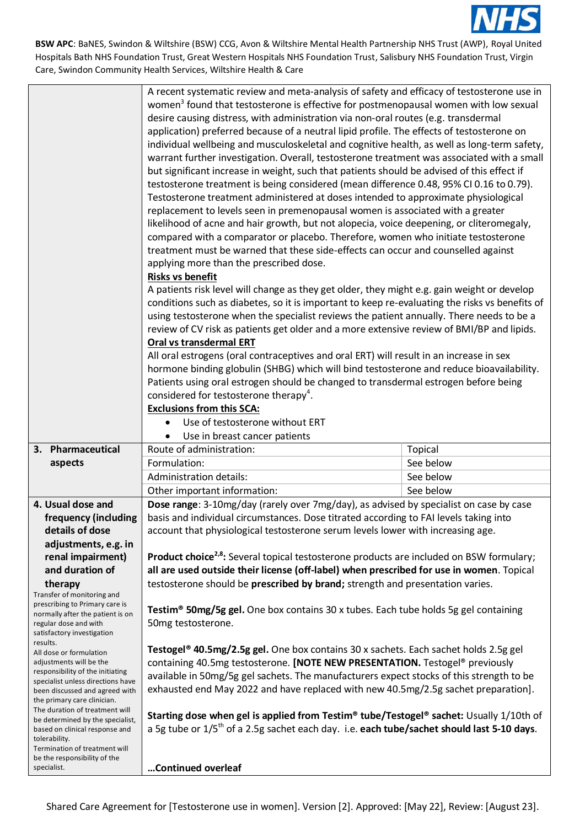

|                                                                                                                                                      | A recent systematic review and meta-analysis of safety and efficacy of testosterone use in<br>women <sup>3</sup> found that testosterone is effective for postmenopausal women with low sexual<br>desire causing distress, with administration via non-oral routes (e.g. transdermal<br>application) preferred because of a neutral lipid profile. The effects of testosterone on<br>individual wellbeing and musculoskeletal and cognitive health, as well as long-term safety,<br>warrant further investigation. Overall, testosterone treatment was associated with a small |           |  |
|------------------------------------------------------------------------------------------------------------------------------------------------------|--------------------------------------------------------------------------------------------------------------------------------------------------------------------------------------------------------------------------------------------------------------------------------------------------------------------------------------------------------------------------------------------------------------------------------------------------------------------------------------------------------------------------------------------------------------------------------|-----------|--|
|                                                                                                                                                      | but significant increase in weight, such that patients should be advised of this effect if<br>testosterone treatment is being considered (mean difference 0.48, 95% CI 0.16 to 0.79).                                                                                                                                                                                                                                                                                                                                                                                          |           |  |
|                                                                                                                                                      | Testosterone treatment administered at doses intended to approximate physiological<br>replacement to levels seen in premenopausal women is associated with a greater                                                                                                                                                                                                                                                                                                                                                                                                           |           |  |
|                                                                                                                                                      | likelihood of acne and hair growth, but not alopecia, voice deepening, or cliteromegaly,<br>compared with a comparator or placebo. Therefore, women who initiate testosterone                                                                                                                                                                                                                                                                                                                                                                                                  |           |  |
|                                                                                                                                                      | treatment must be warned that these side-effects can occur and counselled against                                                                                                                                                                                                                                                                                                                                                                                                                                                                                              |           |  |
|                                                                                                                                                      | applying more than the prescribed dose.<br><b>Risks vs benefit</b>                                                                                                                                                                                                                                                                                                                                                                                                                                                                                                             |           |  |
|                                                                                                                                                      | A patients risk level will change as they get older, they might e.g. gain weight or develop<br>conditions such as diabetes, so it is important to keep re-evaluating the risks vs benefits of                                                                                                                                                                                                                                                                                                                                                                                  |           |  |
|                                                                                                                                                      | using testosterone when the specialist reviews the patient annually. There needs to be a<br>review of CV risk as patients get older and a more extensive review of BMI/BP and lipids.                                                                                                                                                                                                                                                                                                                                                                                          |           |  |
|                                                                                                                                                      | Oral vs transdermal ERT<br>All oral estrogens (oral contraceptives and oral ERT) will result in an increase in sex                                                                                                                                                                                                                                                                                                                                                                                                                                                             |           |  |
|                                                                                                                                                      | hormone binding globulin (SHBG) which will bind testosterone and reduce bioavailability.                                                                                                                                                                                                                                                                                                                                                                                                                                                                                       |           |  |
|                                                                                                                                                      | Patients using oral estrogen should be changed to transdermal estrogen before being<br>considered for testosterone therapy <sup>4</sup> .                                                                                                                                                                                                                                                                                                                                                                                                                                      |           |  |
|                                                                                                                                                      | <b>Exclusions from this SCA:</b>                                                                                                                                                                                                                                                                                                                                                                                                                                                                                                                                               |           |  |
|                                                                                                                                                      | Use of testosterone without ERT                                                                                                                                                                                                                                                                                                                                                                                                                                                                                                                                                |           |  |
|                                                                                                                                                      | Use in breast cancer patients                                                                                                                                                                                                                                                                                                                                                                                                                                                                                                                                                  |           |  |
| 3. Pharmaceutical                                                                                                                                    | Route of administration:                                                                                                                                                                                                                                                                                                                                                                                                                                                                                                                                                       | Topical   |  |
| aspects                                                                                                                                              | Formulation:                                                                                                                                                                                                                                                                                                                                                                                                                                                                                                                                                                   | See below |  |
|                                                                                                                                                      | <b>Administration details:</b>                                                                                                                                                                                                                                                                                                                                                                                                                                                                                                                                                 | See below |  |
|                                                                                                                                                      | Other important information:                                                                                                                                                                                                                                                                                                                                                                                                                                                                                                                                                   | See below |  |
| 4. Usual dose and<br>frequency (including<br>details of dose                                                                                         | Dose range: 3-10mg/day (rarely over 7mg/day), as advised by specialist on case by case<br>basis and individual circumstances. Dose titrated according to FAI levels taking into<br>account that physiological testosterone serum levels lower with increasing age.                                                                                                                                                                                                                                                                                                             |           |  |
| adjustments, e.g. in                                                                                                                                 |                                                                                                                                                                                                                                                                                                                                                                                                                                                                                                                                                                                |           |  |
| renal impairment)<br>and duration of                                                                                                                 | <b>Product choice<sup>2,8</sup>:</b> Several topical testosterone products are included on BSW formulary;<br>all are used outside their license (off-label) when prescribed for use in women. Topical                                                                                                                                                                                                                                                                                                                                                                          |           |  |
|                                                                                                                                                      |                                                                                                                                                                                                                                                                                                                                                                                                                                                                                                                                                                                |           |  |
| therapy<br>Transfer of monitoring and<br>prescribing to Primary care is                                                                              | testosterone should be prescribed by brand; strength and presentation varies.<br>Testim <sup>®</sup> 50mg/5g gel. One box contains 30 x tubes. Each tube holds 5g gel containing                                                                                                                                                                                                                                                                                                                                                                                               |           |  |
| normally after the patient is on<br>regular dose and with<br>satisfactory investigation<br>results.                                                  | 50mg testosterone.                                                                                                                                                                                                                                                                                                                                                                                                                                                                                                                                                             |           |  |
| All dose or formulation                                                                                                                              | Testogel <sup>®</sup> 40.5mg/2.5g gel. One box contains 30 x sachets. Each sachet holds 2.5g gel                                                                                                                                                                                                                                                                                                                                                                                                                                                                               |           |  |
| adjustments will be the<br>responsibility of the initiating                                                                                          | containing 40.5mg testosterone. [NOTE NEW PRESENTATION. Testogel® previously                                                                                                                                                                                                                                                                                                                                                                                                                                                                                                   |           |  |
|                                                                                                                                                      |                                                                                                                                                                                                                                                                                                                                                                                                                                                                                                                                                                                |           |  |
| specialist unless directions have<br>been discussed and agreed with                                                                                  | available in 50mg/5g gel sachets. The manufacturers expect stocks of this strength to be<br>exhausted end May 2022 and have replaced with new 40.5mg/2.5g sachet preparation].                                                                                                                                                                                                                                                                                                                                                                                                 |           |  |
| the primary care clinician.<br>The duration of treatment will<br>be determined by the specialist,<br>based on clinical response and<br>tolerability. | Starting dose when gel is applied from Testim® tube/Testogel® sachet: Usually 1/10th of<br>a 5g tube or $1/5$ <sup>th</sup> of a 2.5g sachet each day. i.e. each tube/sachet should last 5-10 days.                                                                                                                                                                                                                                                                                                                                                                            |           |  |
| Termination of treatment will<br>be the responsibility of the                                                                                        |                                                                                                                                                                                                                                                                                                                                                                                                                                                                                                                                                                                |           |  |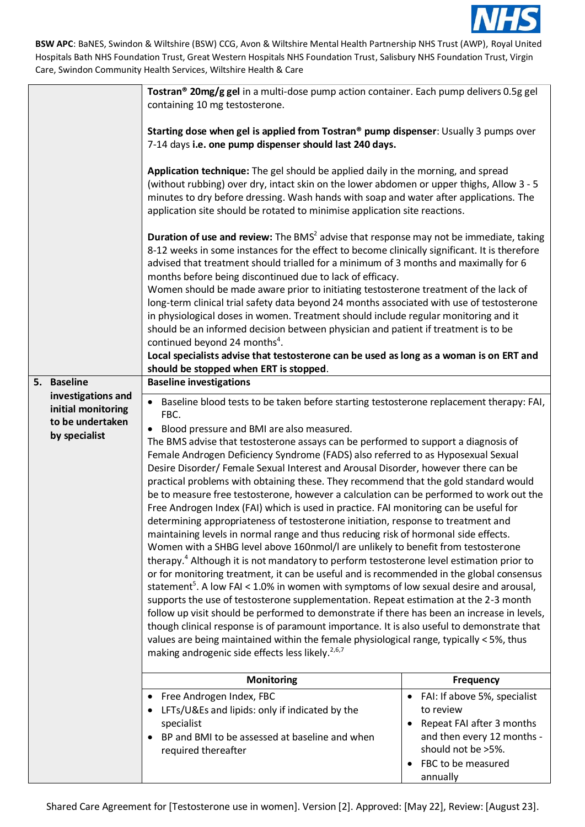

|                                                                               | Tostran <sup>®</sup> 20mg/g gel in a multi-dose pump action container. Each pump delivers 0.5g gel<br>containing 10 mg testosterone.                                                                                                                                                                                                                                                                                                                                                                                                                                                                                                                                                                                                                                                                                                                                                                                                                                                                                                                                                                                                                                                                                                                                                                                                                                                                                                                                                                                                                                                                                                                                                                                               |                                                                                                                                                                                |
|-------------------------------------------------------------------------------|------------------------------------------------------------------------------------------------------------------------------------------------------------------------------------------------------------------------------------------------------------------------------------------------------------------------------------------------------------------------------------------------------------------------------------------------------------------------------------------------------------------------------------------------------------------------------------------------------------------------------------------------------------------------------------------------------------------------------------------------------------------------------------------------------------------------------------------------------------------------------------------------------------------------------------------------------------------------------------------------------------------------------------------------------------------------------------------------------------------------------------------------------------------------------------------------------------------------------------------------------------------------------------------------------------------------------------------------------------------------------------------------------------------------------------------------------------------------------------------------------------------------------------------------------------------------------------------------------------------------------------------------------------------------------------------------------------------------------------|--------------------------------------------------------------------------------------------------------------------------------------------------------------------------------|
|                                                                               | Starting dose when gel is applied from Tostran® pump dispenser: Usually 3 pumps over<br>7-14 days i.e. one pump dispenser should last 240 days.                                                                                                                                                                                                                                                                                                                                                                                                                                                                                                                                                                                                                                                                                                                                                                                                                                                                                                                                                                                                                                                                                                                                                                                                                                                                                                                                                                                                                                                                                                                                                                                    |                                                                                                                                                                                |
|                                                                               | Application technique: The gel should be applied daily in the morning, and spread<br>(without rubbing) over dry, intact skin on the lower abdomen or upper thighs, Allow 3 - 5<br>minutes to dry before dressing. Wash hands with soap and water after applications. The<br>application site should be rotated to minimise application site reactions.                                                                                                                                                                                                                                                                                                                                                                                                                                                                                                                                                                                                                                                                                                                                                                                                                                                                                                                                                                                                                                                                                                                                                                                                                                                                                                                                                                             |                                                                                                                                                                                |
|                                                                               | <b>Duration of use and review:</b> The BMS <sup>2</sup> advise that response may not be immediate, taking<br>8-12 weeks in some instances for the effect to become clinically significant. It is therefore<br>advised that treatment should trialled for a minimum of 3 months and maximally for 6<br>months before being discontinued due to lack of efficacy.<br>Women should be made aware prior to initiating testosterone treatment of the lack of<br>long-term clinical trial safety data beyond 24 months associated with use of testosterone<br>in physiological doses in women. Treatment should include regular monitoring and it<br>should be an informed decision between physician and patient if treatment is to be<br>continued beyond 24 months <sup>4</sup> .<br>Local specialists advise that testosterone can be used as long as a woman is on ERT and                                                                                                                                                                                                                                                                                                                                                                                                                                                                                                                                                                                                                                                                                                                                                                                                                                                          |                                                                                                                                                                                |
| 5. Baseline                                                                   | should be stopped when ERT is stopped.<br><b>Baseline investigations</b>                                                                                                                                                                                                                                                                                                                                                                                                                                                                                                                                                                                                                                                                                                                                                                                                                                                                                                                                                                                                                                                                                                                                                                                                                                                                                                                                                                                                                                                                                                                                                                                                                                                           |                                                                                                                                                                                |
| investigations and<br>initial monitoring<br>to be undertaken<br>by specialist | • Baseline blood tests to be taken before starting testosterone replacement therapy: FAI,<br>FBC.<br>Blood pressure and BMI are also measured.<br>$\bullet$<br>The BMS advise that testosterone assays can be performed to support a diagnosis of<br>Female Androgen Deficiency Syndrome (FADS) also referred to as Hyposexual Sexual<br>Desire Disorder/ Female Sexual Interest and Arousal Disorder, however there can be<br>practical problems with obtaining these. They recommend that the gold standard would<br>be to measure free testosterone, however a calculation can be performed to work out the<br>Free Androgen Index (FAI) which is used in practice. FAI monitoring can be useful for<br>determining appropriateness of testosterone initiation, response to treatment and<br>maintaining levels in normal range and thus reducing risk of hormonal side effects.<br>Women with a SHBG level above 160nmol/I are unlikely to benefit from testosterone<br>therapy. <sup>4</sup> Although it is not mandatory to perform testosterone level estimation prior to<br>or for monitoring treatment, it can be useful and is recommended in the global consensus<br>statement <sup>5</sup> . A low FAI < 1.0% in women with symptoms of low sexual desire and arousal,<br>supports the use of testosterone supplementation. Repeat estimation at the 2-3 month<br>follow up visit should be performed to demonstrate if there has been an increase in levels,<br>though clinical response is of paramount importance. It is also useful to demonstrate that<br>values are being maintained within the female physiological range, typically < 5%, thus<br>making androgenic side effects less likely. <sup>2,6,7</sup> |                                                                                                                                                                                |
|                                                                               | Monitoring                                                                                                                                                                                                                                                                                                                                                                                                                                                                                                                                                                                                                                                                                                                                                                                                                                                                                                                                                                                                                                                                                                                                                                                                                                                                                                                                                                                                                                                                                                                                                                                                                                                                                                                         | <b>Frequency</b>                                                                                                                                                               |
|                                                                               | Free Androgen Index, FBC<br>٠<br>LFTs/U&Es and lipids: only if indicated by the<br>specialist<br>BP and BMI to be assessed at baseline and when<br>required thereafter                                                                                                                                                                                                                                                                                                                                                                                                                                                                                                                                                                                                                                                                                                                                                                                                                                                                                                                                                                                                                                                                                                                                                                                                                                                                                                                                                                                                                                                                                                                                                             | FAI: If above 5%, specialist<br>$\bullet$<br>to review<br>Repeat FAI after 3 months<br>and then every 12 months -<br>should not be >5%.<br>FBC to be measured<br>٠<br>annually |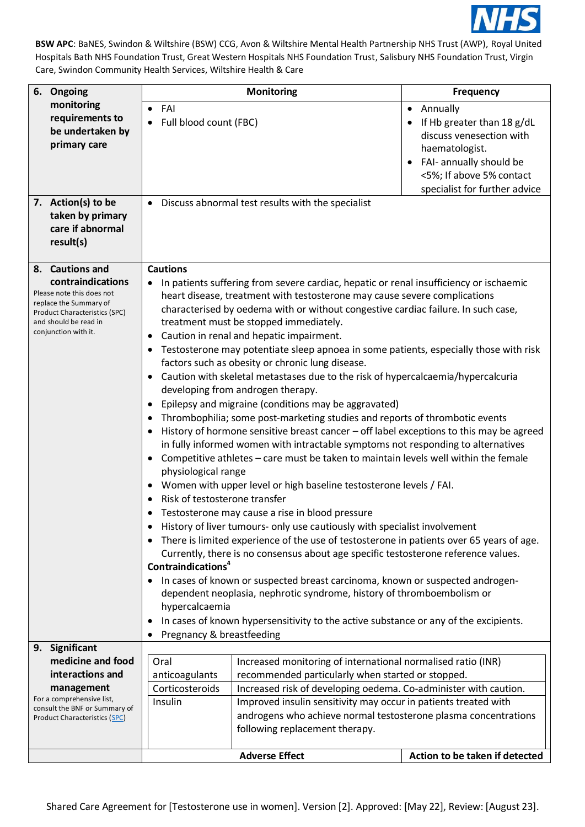

| 6. Ongoing                                                                                                                                                        |                                                                                                                                                                                                                                                                                                                                                                                                                                                                                                                                                                                                                                                                                                                                                                                                                                                                                                                                                                                                                                                                                                                                                                                                                                                                                                                                                                                                                                                                                                                                                                                                                                                                                                                                    | <b>Monitoring</b>                                                                                 | <b>Frequency</b>                                                                                                                                                                                       |
|-------------------------------------------------------------------------------------------------------------------------------------------------------------------|------------------------------------------------------------------------------------------------------------------------------------------------------------------------------------------------------------------------------------------------------------------------------------------------------------------------------------------------------------------------------------------------------------------------------------------------------------------------------------------------------------------------------------------------------------------------------------------------------------------------------------------------------------------------------------------------------------------------------------------------------------------------------------------------------------------------------------------------------------------------------------------------------------------------------------------------------------------------------------------------------------------------------------------------------------------------------------------------------------------------------------------------------------------------------------------------------------------------------------------------------------------------------------------------------------------------------------------------------------------------------------------------------------------------------------------------------------------------------------------------------------------------------------------------------------------------------------------------------------------------------------------------------------------------------------------------------------------------------------|---------------------------------------------------------------------------------------------------|--------------------------------------------------------------------------------------------------------------------------------------------------------------------------------------------------------|
| monitoring<br>requirements to<br>be undertaken by<br>primary care                                                                                                 | FAI<br>$\bullet$<br>Full blood count (FBC)                                                                                                                                                                                                                                                                                                                                                                                                                                                                                                                                                                                                                                                                                                                                                                                                                                                                                                                                                                                                                                                                                                                                                                                                                                                                                                                                                                                                                                                                                                                                                                                                                                                                                         |                                                                                                   | Annually<br>$\bullet$<br>If Hb greater than 18 g/dL<br>discuss venesection with<br>haematologist.<br>FAI- annually should be<br>$\bullet$<br><5%; If above 5% contact<br>specialist for further advice |
| 7. Action(s) to be<br>taken by primary<br>care if abnormal<br>result(s)                                                                                           | $\bullet$                                                                                                                                                                                                                                                                                                                                                                                                                                                                                                                                                                                                                                                                                                                                                                                                                                                                                                                                                                                                                                                                                                                                                                                                                                                                                                                                                                                                                                                                                                                                                                                                                                                                                                                          | Discuss abnormal test results with the specialist                                                 |                                                                                                                                                                                                        |
| 8. Cautions and                                                                                                                                                   | <b>Cautions</b>                                                                                                                                                                                                                                                                                                                                                                                                                                                                                                                                                                                                                                                                                                                                                                                                                                                                                                                                                                                                                                                                                                                                                                                                                                                                                                                                                                                                                                                                                                                                                                                                                                                                                                                    |                                                                                                   |                                                                                                                                                                                                        |
| contraindications<br>Please note this does not<br>replace the Summary of<br><b>Product Characteristics (SPC)</b><br>and should be read in<br>conjunction with it. | In patients suffering from severe cardiac, hepatic or renal insufficiency or ischaemic<br>heart disease, treatment with testosterone may cause severe complications<br>characterised by oedema with or without congestive cardiac failure. In such case,<br>treatment must be stopped immediately.<br>Caution in renal and hepatic impairment.<br>Testosterone may potentiate sleep apnoea in some patients, especially those with risk<br>factors such as obesity or chronic lung disease.<br>Caution with skeletal metastases due to the risk of hypercalcaemia/hypercalcuria<br>developing from androgen therapy.<br>Epilepsy and migraine (conditions may be aggravated)<br>$\bullet$<br>Thrombophilia; some post-marketing studies and reports of thrombotic events<br>$\bullet$<br>History of hormone sensitive breast cancer - off label exceptions to this may be agreed<br>in fully informed women with intractable symptoms not responding to alternatives<br>Competitive athletes - care must be taken to maintain levels well within the female<br>$\bullet$<br>physiological range<br>Women with upper level or high baseline testosterone levels / FAI.<br>$\bullet$<br>Risk of testosterone transfer<br>Testosterone may cause a rise in blood pressure<br>History of liver tumours- only use cautiously with specialist involvement<br>There is limited experience of the use of testosterone in patients over 65 years of age.<br>Currently, there is no consensus about age specific testosterone reference values.<br>Contraindications <sup>4</sup><br>In cases of known or suspected breast carcinoma, known or suspected androgen-<br>dependent neoplasia, nephrotic syndrome, history of thromboembolism or |                                                                                                   |                                                                                                                                                                                                        |
|                                                                                                                                                                   | hypercalcaemia<br>In cases of known hypersensitivity to the active substance or any of the excipients.<br>٠                                                                                                                                                                                                                                                                                                                                                                                                                                                                                                                                                                                                                                                                                                                                                                                                                                                                                                                                                                                                                                                                                                                                                                                                                                                                                                                                                                                                                                                                                                                                                                                                                        |                                                                                                   |                                                                                                                                                                                                        |
|                                                                                                                                                                   | Pregnancy & breastfeeding<br>٠                                                                                                                                                                                                                                                                                                                                                                                                                                                                                                                                                                                                                                                                                                                                                                                                                                                                                                                                                                                                                                                                                                                                                                                                                                                                                                                                                                                                                                                                                                                                                                                                                                                                                                     |                                                                                                   |                                                                                                                                                                                                        |
| 9. Significant                                                                                                                                                    |                                                                                                                                                                                                                                                                                                                                                                                                                                                                                                                                                                                                                                                                                                                                                                                                                                                                                                                                                                                                                                                                                                                                                                                                                                                                                                                                                                                                                                                                                                                                                                                                                                                                                                                                    |                                                                                                   |                                                                                                                                                                                                        |
| medicine and food                                                                                                                                                 | Oral                                                                                                                                                                                                                                                                                                                                                                                                                                                                                                                                                                                                                                                                                                                                                                                                                                                                                                                                                                                                                                                                                                                                                                                                                                                                                                                                                                                                                                                                                                                                                                                                                                                                                                                               | Increased monitoring of international normalised ratio (INR)                                      |                                                                                                                                                                                                        |
| interactions and                                                                                                                                                  | anticoagulants                                                                                                                                                                                                                                                                                                                                                                                                                                                                                                                                                                                                                                                                                                                                                                                                                                                                                                                                                                                                                                                                                                                                                                                                                                                                                                                                                                                                                                                                                                                                                                                                                                                                                                                     | recommended particularly when started or stopped.                                                 |                                                                                                                                                                                                        |
| management                                                                                                                                                        | Corticosteroids                                                                                                                                                                                                                                                                                                                                                                                                                                                                                                                                                                                                                                                                                                                                                                                                                                                                                                                                                                                                                                                                                                                                                                                                                                                                                                                                                                                                                                                                                                                                                                                                                                                                                                                    | Increased risk of developing oedema. Co-administer with caution.                                  |                                                                                                                                                                                                        |
| For a comprehensive list,<br>consult the BNF or Summary of                                                                                                        | Insulin                                                                                                                                                                                                                                                                                                                                                                                                                                                                                                                                                                                                                                                                                                                                                                                                                                                                                                                                                                                                                                                                                                                                                                                                                                                                                                                                                                                                                                                                                                                                                                                                                                                                                                                            | Improved insulin sensitivity may occur in patients treated with                                   |                                                                                                                                                                                                        |
| <b>Product Characteristics (SPC)</b>                                                                                                                              |                                                                                                                                                                                                                                                                                                                                                                                                                                                                                                                                                                                                                                                                                                                                                                                                                                                                                                                                                                                                                                                                                                                                                                                                                                                                                                                                                                                                                                                                                                                                                                                                                                                                                                                                    | androgens who achieve normal testosterone plasma concentrations<br>following replacement therapy. |                                                                                                                                                                                                        |
|                                                                                                                                                                   |                                                                                                                                                                                                                                                                                                                                                                                                                                                                                                                                                                                                                                                                                                                                                                                                                                                                                                                                                                                                                                                                                                                                                                                                                                                                                                                                                                                                                                                                                                                                                                                                                                                                                                                                    | <b>Adverse Effect</b>                                                                             | Action to be taken if detected                                                                                                                                                                         |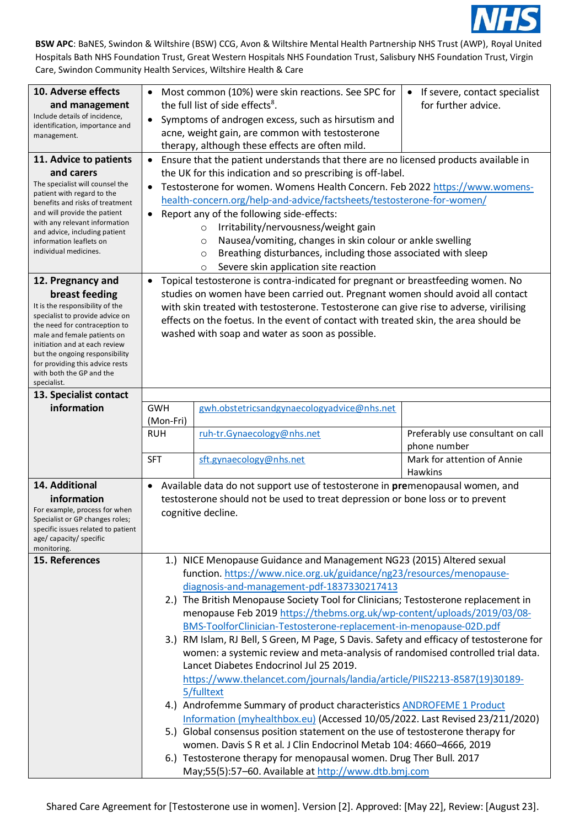

| 10. Adverse effects<br>and management<br>Include details of incidence,<br>identification, importance and<br>management.<br>11. Advice to patients<br>and carers<br>The specialist will counsel the<br>patient with regard to the<br>benefits and risks of treatment<br>and will provide the patient<br>with any relevant information<br>and advice, including patient<br>information leaflets on<br>individual medicines. | Most common (10%) were skin reactions. See SPC for<br>If severe, contact specialist<br>$\bullet$<br>$\bullet$<br>the full list of side effects <sup>8</sup> .<br>for further advice.<br>Symptoms of androgen excess, such as hirsutism and<br>$\bullet$<br>acne, weight gain, are common with testosterone<br>therapy, although these effects are often mild.<br>Ensure that the patient understands that there are no licensed products available in<br>the UK for this indication and so prescribing is off-label.<br>Testosterone for women. Womens Health Concern. Feb 2022 https://www.womens-<br>health-concern.org/help-and-advice/factsheets/testosterone-for-women/<br>Report any of the following side-effects:<br>Irritability/nervousness/weight gain<br>$\circ$<br>Nausea/vomiting, changes in skin colour or ankle swelling<br>$\circ$<br>Breathing disturbances, including those associated with sleep<br>$\circ$<br>Severe skin application site reaction<br>$\circ$ |                                                                                                                                                                                                                        |                                                   |
|---------------------------------------------------------------------------------------------------------------------------------------------------------------------------------------------------------------------------------------------------------------------------------------------------------------------------------------------------------------------------------------------------------------------------|--------------------------------------------------------------------------------------------------------------------------------------------------------------------------------------------------------------------------------------------------------------------------------------------------------------------------------------------------------------------------------------------------------------------------------------------------------------------------------------------------------------------------------------------------------------------------------------------------------------------------------------------------------------------------------------------------------------------------------------------------------------------------------------------------------------------------------------------------------------------------------------------------------------------------------------------------------------------------------------|------------------------------------------------------------------------------------------------------------------------------------------------------------------------------------------------------------------------|---------------------------------------------------|
| 12. Pregnancy and<br>breast feeding                                                                                                                                                                                                                                                                                                                                                                                       | $\bullet$                                                                                                                                                                                                                                                                                                                                                                                                                                                                                                                                                                                                                                                                                                                                                                                                                                                                                                                                                                            | Topical testosterone is contra-indicated for pregnant or breastfeeding women. No                                                                                                                                       |                                                   |
| It is the responsibility of the<br>specialist to provide advice on<br>the need for contraception to<br>male and female patients on<br>initiation and at each review<br>but the ongoing responsibility<br>for providing this advice rests<br>with both the GP and the<br>specialist.<br>13. Specialist contact                                                                                                             | studies on women have been carried out. Pregnant women should avoid all contact<br>with skin treated with testosterone. Testosterone can give rise to adverse, virilising<br>effects on the foetus. In the event of contact with treated skin, the area should be<br>washed with soap and water as soon as possible.                                                                                                                                                                                                                                                                                                                                                                                                                                                                                                                                                                                                                                                                 |                                                                                                                                                                                                                        |                                                   |
| information                                                                                                                                                                                                                                                                                                                                                                                                               | <b>GWH</b>                                                                                                                                                                                                                                                                                                                                                                                                                                                                                                                                                                                                                                                                                                                                                                                                                                                                                                                                                                           | gwh.obstetricsandgynaecologyadvice@nhs.net                                                                                                                                                                             |                                                   |
|                                                                                                                                                                                                                                                                                                                                                                                                                           | (Mon-Fri)                                                                                                                                                                                                                                                                                                                                                                                                                                                                                                                                                                                                                                                                                                                                                                                                                                                                                                                                                                            |                                                                                                                                                                                                                        |                                                   |
|                                                                                                                                                                                                                                                                                                                                                                                                                           | <b>RUH</b>                                                                                                                                                                                                                                                                                                                                                                                                                                                                                                                                                                                                                                                                                                                                                                                                                                                                                                                                                                           | ruh-tr.Gynaecology@nhs.net                                                                                                                                                                                             | Preferably use consultant on call<br>phone number |
|                                                                                                                                                                                                                                                                                                                                                                                                                           | <b>SFT</b>                                                                                                                                                                                                                                                                                                                                                                                                                                                                                                                                                                                                                                                                                                                                                                                                                                                                                                                                                                           | sft.gynaecology@nhs.net                                                                                                                                                                                                | Mark for attention of Annie<br><b>Hawkins</b>     |
| 14. Additional                                                                                                                                                                                                                                                                                                                                                                                                            | Available data do not support use of testosterone in premenopausal women, and<br>$\bullet$                                                                                                                                                                                                                                                                                                                                                                                                                                                                                                                                                                                                                                                                                                                                                                                                                                                                                           |                                                                                                                                                                                                                        |                                                   |
| information<br>For example, process for when<br>Specialist or GP changes roles;<br>specific issues related to patient<br>age/ capacity/ specific<br>monitoring.                                                                                                                                                                                                                                                           | testosterone should not be used to treat depression or bone loss or to prevent<br>cognitive decline.                                                                                                                                                                                                                                                                                                                                                                                                                                                                                                                                                                                                                                                                                                                                                                                                                                                                                 |                                                                                                                                                                                                                        |                                                   |
| 15. References                                                                                                                                                                                                                                                                                                                                                                                                            | 1.) NICE Menopause Guidance and Management NG23 (2015) Altered sexual<br>function. https://www.nice.org.uk/guidance/ng23/resources/menopause-<br>diagnosis-and-management-pdf-1837330217413                                                                                                                                                                                                                                                                                                                                                                                                                                                                                                                                                                                                                                                                                                                                                                                          |                                                                                                                                                                                                                        |                                                   |
|                                                                                                                                                                                                                                                                                                                                                                                                                           | 2.) The British Menopause Society Tool for Clinicians; Testosterone replacement in<br>menopause Feb 2019 https://thebms.org.uk/wp-content/uploads/2019/03/08-<br>BMS-ToolforClinician-Testosterone-replacement-in-menopause-02D.pdf                                                                                                                                                                                                                                                                                                                                                                                                                                                                                                                                                                                                                                                                                                                                                  |                                                                                                                                                                                                                        |                                                   |
|                                                                                                                                                                                                                                                                                                                                                                                                                           |                                                                                                                                                                                                                                                                                                                                                                                                                                                                                                                                                                                                                                                                                                                                                                                                                                                                                                                                                                                      | 3.) RM Islam, RJ Bell, S Green, M Page, S Davis. Safety and efficacy of testosterone for<br>women: a systemic review and meta-analysis of randomised controlled trial data.<br>Lancet Diabetes Endocrinol Jul 25 2019. |                                                   |
|                                                                                                                                                                                                                                                                                                                                                                                                                           |                                                                                                                                                                                                                                                                                                                                                                                                                                                                                                                                                                                                                                                                                                                                                                                                                                                                                                                                                                                      | https://www.thelancet.com/journals/landia/article/PIIS2213-8587(19)30189-<br>5/fulltext                                                                                                                                |                                                   |
|                                                                                                                                                                                                                                                                                                                                                                                                                           |                                                                                                                                                                                                                                                                                                                                                                                                                                                                                                                                                                                                                                                                                                                                                                                                                                                                                                                                                                                      | 4.) Androfemme Summary of product characteristics ANDROFEME 1 Product                                                                                                                                                  |                                                   |
|                                                                                                                                                                                                                                                                                                                                                                                                                           |                                                                                                                                                                                                                                                                                                                                                                                                                                                                                                                                                                                                                                                                                                                                                                                                                                                                                                                                                                                      | Information (myhealthbox.eu) (Accessed 10/05/2022. Last Revised 23/211/2020)<br>5.) Global consensus position statement on the use of testosterone therapy for                                                         |                                                   |
|                                                                                                                                                                                                                                                                                                                                                                                                                           |                                                                                                                                                                                                                                                                                                                                                                                                                                                                                                                                                                                                                                                                                                                                                                                                                                                                                                                                                                                      | women. Davis S R et al. J Clin Endocrinol Metab 104: 4660-4666, 2019                                                                                                                                                   |                                                   |
|                                                                                                                                                                                                                                                                                                                                                                                                                           |                                                                                                                                                                                                                                                                                                                                                                                                                                                                                                                                                                                                                                                                                                                                                                                                                                                                                                                                                                                      | 6.) Testosterone therapy for menopausal women. Drug Ther Bull. 2017<br>May;55(5):57-60. Available at http://www.dtb.bmj.com                                                                                            |                                                   |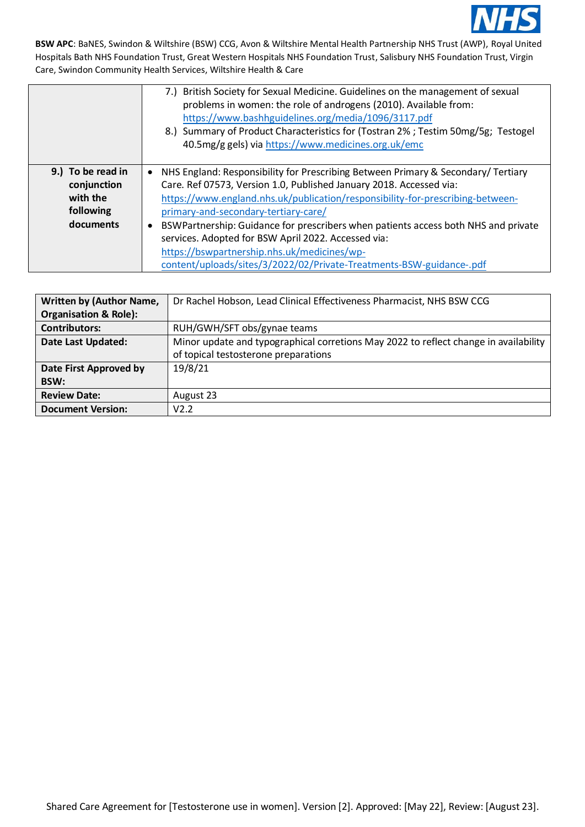

|                                                                        | 7.) British Society for Sexual Medicine. Guidelines on the management of sexual<br>problems in women: the role of androgens (2010). Available from:<br>https://www.bashhguidelines.org/media/1096/3117.pdf<br>8.) Summary of Product Characteristics for (Tostran 2%; Testim 50mg/5g; Testogel<br>40.5mg/g gels) via https://www.medicines.org.uk/emc                                                                                                                                                                                                 |
|------------------------------------------------------------------------|-------------------------------------------------------------------------------------------------------------------------------------------------------------------------------------------------------------------------------------------------------------------------------------------------------------------------------------------------------------------------------------------------------------------------------------------------------------------------------------------------------------------------------------------------------|
| 9.) To be read in<br>conjunction<br>with the<br>following<br>documents | NHS England: Responsibility for Prescribing Between Primary & Secondary/Tertiary<br>Care. Ref 07573, Version 1.0, Published January 2018. Accessed via:<br>https://www.england.nhs.uk/publication/responsibility-for-prescribing-between-<br>primary-and-secondary-tertiary-care/<br>BSWPartnership: Guidance for prescribers when patients access both NHS and private<br>services. Adopted for BSW April 2022. Accessed via:<br>https://bswpartnership.nhs.uk/medicines/wp-<br>content/uploads/sites/3/2022/02/Private-Treatments-BSW-guidance-.pdf |

| <b>Written by (Author Name,</b>  | Dr Rachel Hobson, Lead Clinical Effectiveness Pharmacist, NHS BSW CCG                |
|----------------------------------|--------------------------------------------------------------------------------------|
| <b>Organisation &amp; Role):</b> |                                                                                      |
| <b>Contributors:</b>             | RUH/GWH/SFT obs/gynae teams                                                          |
| Date Last Updated:               | Minor update and typographical corretions May 2022 to reflect change in availability |
|                                  | of topical testosterone preparations                                                 |
| Date First Approved by           | 19/8/21                                                                              |
| BSW:                             |                                                                                      |
| <b>Review Date:</b>              | August 23                                                                            |
| <b>Document Version:</b>         | V2.2                                                                                 |